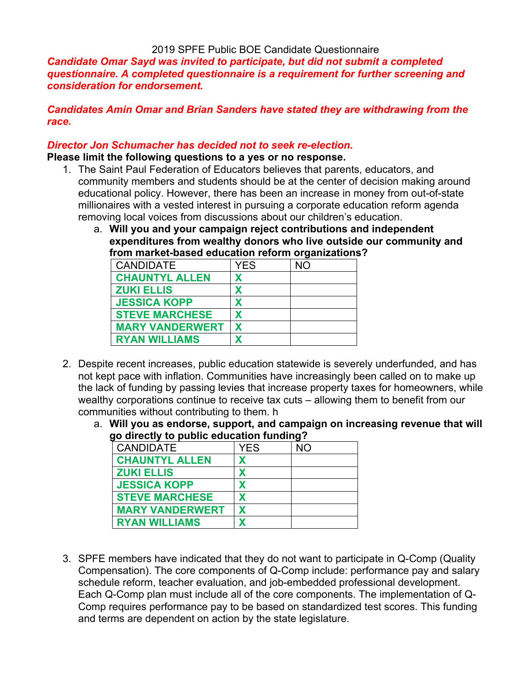# 2019 SPFE Public BOE Candidate Questionnaire

*Candidate Omar Sayd was invited to participate, but did not submit a completed questionnaire. A completed questionnaire is a requirement for further screening and consideration for endorsement.* 

*Candidates Amin Omar and Brian Sanders have stated they are withdrawing from the race.*

#### *Director Jon Schumacher has decided not to seek re-election.*

#### **Please limit the following questions to a yes or no response.**

- 1. The Saint Paul Federation of Educators believes that parents, educators, and community members and students should be at the center of decision making around educational policy. However, there has been an increase in money from out-of-state millionaires with a vested interest in pursuing a corporate education reform agenda removing local voices from discussions about our children's education.
	- a. **Will you and your campaign reject contributions and independent expenditures from wealthy donors who live outside our community and from market-based education reform organizations?**

| <b>CANDIDATE</b>       | <b>YES</b> | <b>NO</b> |
|------------------------|------------|-----------|
| <b>CHAUNTYL ALLEN</b>  | х          |           |
| <b>ZUKI ELLIS</b>      | Χ          |           |
| <b>JESSICA KOPP</b>    |            |           |
| <b>STEVE MARCHESE</b>  | X          |           |
| <b>MARY VANDERWERT</b> | X          |           |
| <b>RYAN WILLIAMS</b>   |            |           |

- 2. Despite recent increases, public education statewide is severely underfunded, and has not kept pace with inflation. Communities have increasingly been called on to make up the lack of funding by passing levies that increase property taxes for homeowners, while wealthy corporations continue to receive tax cuts – allowing them to benefit from our communities without contributing to them. h
	- a. **Will you as endorse, support, and campaign on increasing revenue that will go directly to public education funding?**

| <b>CANDIDATE</b>       | YES | NO |  |  |
|------------------------|-----|----|--|--|
| <b>CHAUNTYL ALLEN</b>  | x   |    |  |  |
| <b>ZUKI ELLIS</b>      |     |    |  |  |
| <b>JESSICA KOPP</b>    |     |    |  |  |
| <b>STEVE MARCHESE</b>  | x   |    |  |  |
| <b>MARY VANDERWERT</b> |     |    |  |  |
| <b>RYAN WILLIAMS</b>   |     |    |  |  |

3. SPFE members have indicated that they do not want to participate in Q-Comp (Quality Compensation). The core components of Q-Comp include: performance pay and salary schedule reform, teacher evaluation, and job-embedded professional development. Each Q-Comp plan must include all of the core components. The implementation of Q-Comp requires performance pay to be based on standardized test scores. This funding and terms are dependent on action by the state legislature.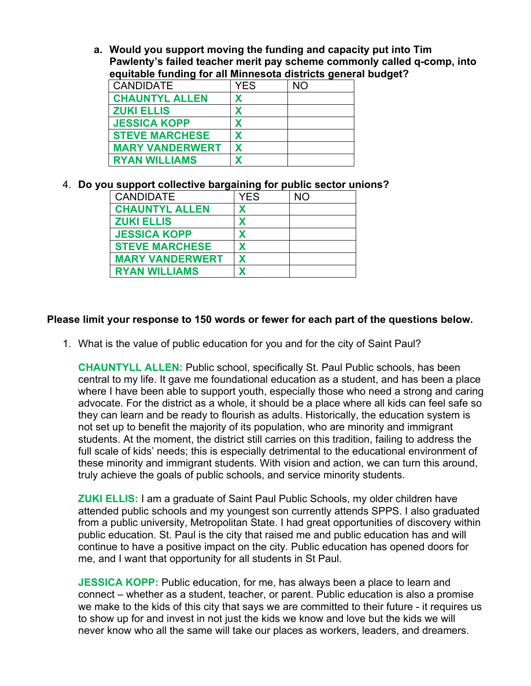**a. Would you support moving the funding and capacity put into Tim Pawlenty's failed teacher merit pay scheme commonly called q-comp, into equitable funding for all Minnesota districts general budget?**

| <b>CANDIDATE</b>       | <b>YES</b> | <b>NO</b> |
|------------------------|------------|-----------|
| <b>CHAUNTYL ALLEN</b>  |            |           |
| <b>ZUKI ELLIS</b>      |            |           |
| <b>JESSICA KOPP</b>    |            |           |
| <b>STEVE MARCHESE</b>  |            |           |
| <b>MARY VANDERWERT</b> |            |           |
| <b>RYAN WILLIAMS</b>   |            |           |

# 4. **Do you support collective bargaining for public sector unions?**

| <b>CANDIDATE</b>       | <b>YES</b> | <b>NO</b> |
|------------------------|------------|-----------|
| <b>CHAUNTYL ALLEN</b>  |            |           |
| <b>ZUKI ELLIS</b>      |            |           |
| <b>JESSICA KOPP</b>    |            |           |
| <b>STEVE MARCHESE</b>  |            |           |
| <b>MARY VANDERWERT</b> |            |           |
| <b>RYAN WILLIAMS</b>   |            |           |

# **Please limit your response to 150 words or fewer for each part of the questions below.**

1. What is the value of public education for you and for the city of Saint Paul?

**CHAUNTYLL ALLEN:** Public school, specifically St. Paul Public schools, has been central to my life. It gave me foundational education as a student, and has been a place where I have been able to support youth, especially those who need a strong and caring advocate. For the district as a whole, it should be a place where all kids can feel safe so they can learn and be ready to flourish as adults. Historically, the education system is not set up to benefit the majority of its population, who are minority and immigrant students. At the moment, the district still carries on this tradition, failing to address the full scale of kids' needs; this is especially detrimental to the educational environment of these minority and immigrant students. With vision and action, we can turn this around, truly achieve the goals of public schools, and service minority students.

**ZUKI ELLIS:** I am a graduate of Saint Paul Public Schools, my older children have attended public schools and my youngest son currently attends SPPS. I also graduated from a public university, Metropolitan State. I had great opportunities of discovery within public education. St. Paul is the city that raised me and public education has and will continue to have a positive impact on the city. Public education has opened doors for me, and I want that opportunity for all students in St Paul.

**JESSICA KOPP:** Public education, for me, has always been a place to learn and connect – whether as a student, teacher, or parent. Public education is also a promise we make to the kids of this city that says we are committed to their future - it requires us to show up for and invest in not just the kids we know and love but the kids we will never know who all the same will take our places as workers, leaders, and dreamers.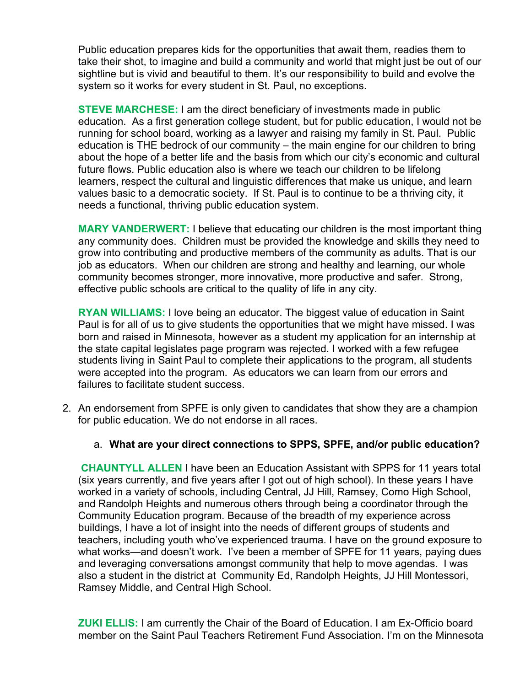Public education prepares kids for the opportunities that await them, readies them to take their shot, to imagine and build a community and world that might just be out of our sightline but is vivid and beautiful to them. It's our responsibility to build and evolve the system so it works for every student in St. Paul, no exceptions.

**STEVE MARCHESE:** I am the direct beneficiary of investments made in public education. As a first generation college student, but for public education, I would not be running for school board, working as a lawyer and raising my family in St. Paul. Public education is THE bedrock of our community – the main engine for our children to bring about the hope of a better life and the basis from which our city's economic and cultural future flows. Public education also is where we teach our children to be lifelong learners, respect the cultural and linguistic differences that make us unique, and learn values basic to a democratic society. If St. Paul is to continue to be a thriving city, it needs a functional, thriving public education system.

**MARY VANDERWERT:** I believe that educating our children is the most important thing any community does. Children must be provided the knowledge and skills they need to grow into contributing and productive members of the community as adults. That is our job as educators. When our children are strong and healthy and learning, our whole community becomes stronger, more innovative, more productive and safer. Strong, effective public schools are critical to the quality of life in any city.

**RYAN WILLIAMS:** I love being an educator. The biggest value of education in Saint Paul is for all of us to give students the opportunities that we might have missed. I was born and raised in Minnesota, however as a student my application for an internship at the state capital legislates page program was rejected. I worked with a few refugee students living in Saint Paul to complete their applications to the program, all students were accepted into the program. As educators we can learn from our errors and failures to facilitate student success.

- 2. An endorsement from SPFE is only given to candidates that show they are a champion for public education. We do not endorse in all races.
	- a. **What are your direct connections to SPPS, SPFE, and/or public education?**

**CHAUNTYLL ALLEN** I have been an Education Assistant with SPPS for 11 years total (six years currently, and five years after I got out of high school). In these years I have worked in a variety of schools, including Central, JJ Hill, Ramsey, Como High School, and Randolph Heights and numerous others through being a coordinator through the Community Education program. Because of the breadth of my experience across buildings, I have a lot of insight into the needs of different groups of students and teachers, including youth who've experienced trauma. I have on the ground exposure to what works—and doesn't work. I've been a member of SPFE for 11 years, paying dues and leveraging conversations amongst community that help to move agendas. I was also a student in the district at Community Ed, Randolph Heights, JJ Hill Montessori, Ramsey Middle, and Central High School.

**ZUKI ELLIS:** I am currently the Chair of the Board of Education. I am Ex-Officio board member on the Saint Paul Teachers Retirement Fund Association. I'm on the Minnesota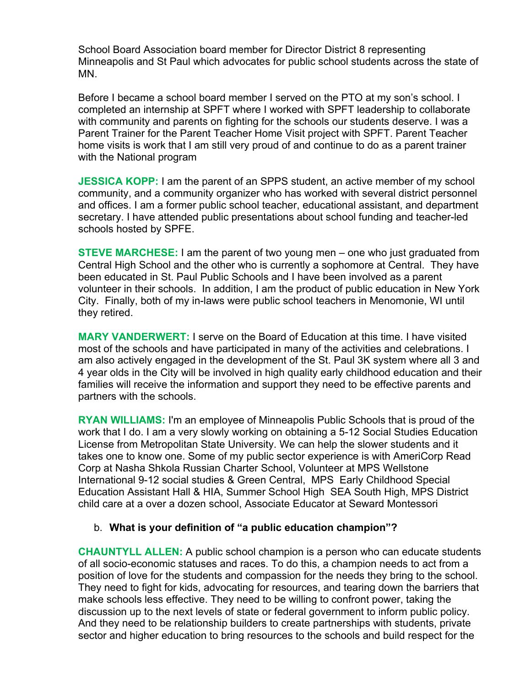School Board Association board member for Director District 8 representing Minneapolis and St Paul which advocates for public school students across the state of MN.

Before I became a school board member I served on the PTO at my son's school. I completed an internship at SPFT where I worked with SPFT leadership to collaborate with community and parents on fighting for the schools our students deserve. I was a Parent Trainer for the Parent Teacher Home Visit project with SPFT. Parent Teacher home visits is work that I am still very proud of and continue to do as a parent trainer with the National program

**JESSICA KOPP:** I am the parent of an SPPS student, an active member of my school community, and a community organizer who has worked with several district personnel and offices. I am a former public school teacher, educational assistant, and department secretary. I have attended public presentations about school funding and teacher-led schools hosted by SPFE.

**STEVE MARCHESE:** I am the parent of two young men – one who just graduated from Central High School and the other who is currently a sophomore at Central. They have been educated in St. Paul Public Schools and I have been involved as a parent volunteer in their schools. In addition, I am the product of public education in New York City. Finally, both of my in-laws were public school teachers in Menomonie, WI until they retired.

**MARY VANDERWERT:** I serve on the Board of Education at this time. I have visited most of the schools and have participated in many of the activities and celebrations. I am also actively engaged in the development of the St. Paul 3K system where all 3 and 4 year olds in the City will be involved in high quality early childhood education and their families will receive the information and support they need to be effective parents and partners with the schools.

**RYAN WILLIAMS:** I'm an employee of Minneapolis Public Schools that is proud of the work that I do. I am a very slowly working on obtaining a 5-12 Social Studies Education License from Metropolitan State University. We can help the slower students and it takes one to know one. Some of my public sector experience is with AmeriCorp Read Corp at Nasha Shkola Russian Charter School, Volunteer at MPS Wellstone International 9-12 social studies & Green Central, MPS Early Childhood Special Education Assistant Hall & HIA, Summer School High SEA South High, MPS District child care at a over a dozen school, Associate Educator at Seward Montessori

# b. **What is your definition of "a public education champion"?**

**CHAUNTYLL ALLEN:** A public school champion is a person who can educate students of all socio-economic statuses and races. To do this, a champion needs to act from a position of love for the students and compassion for the needs they bring to the school. They need to fight for kids, advocating for resources, and tearing down the barriers that make schools less effective. They need to be willing to confront power, taking the discussion up to the next levels of state or federal government to inform public policy. And they need to be relationship builders to create partnerships with students, private sector and higher education to bring resources to the schools and build respect for the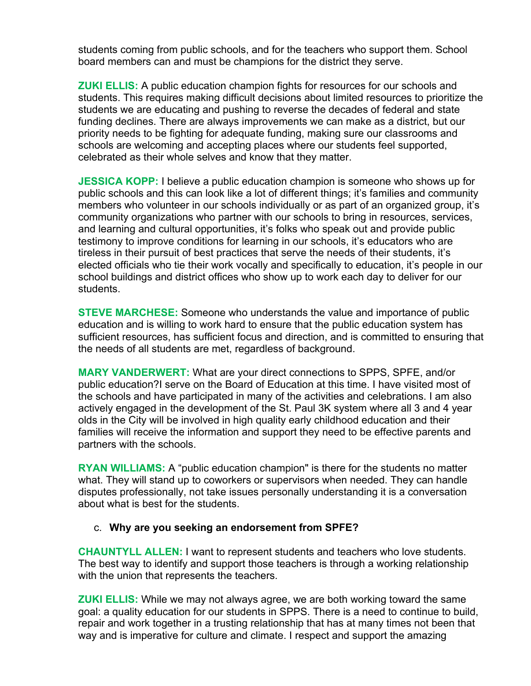students coming from public schools, and for the teachers who support them. School board members can and must be champions for the district they serve.

**ZUKI ELLIS:** A public education champion fights for resources for our schools and students. This requires making difficult decisions about limited resources to prioritize the students we are educating and pushing to reverse the decades of federal and state funding declines. There are always improvements we can make as a district, but our priority needs to be fighting for adequate funding, making sure our classrooms and schools are welcoming and accepting places where our students feel supported, celebrated as their whole selves and know that they matter.

**JESSICA KOPP:** I believe a public education champion is someone who shows up for public schools and this can look like a lot of different things; it's families and community members who volunteer in our schools individually or as part of an organized group, it's community organizations who partner with our schools to bring in resources, services, and learning and cultural opportunities, it's folks who speak out and provide public testimony to improve conditions for learning in our schools, it's educators who are tireless in their pursuit of best practices that serve the needs of their students, it's elected officials who tie their work vocally and specifically to education, it's people in our school buildings and district offices who show up to work each day to deliver for our students.

**STEVE MARCHESE:** Someone who understands the value and importance of public education and is willing to work hard to ensure that the public education system has sufficient resources, has sufficient focus and direction, and is committed to ensuring that the needs of all students are met, regardless of background.

**MARY VANDERWERT:** What are your direct connections to SPPS, SPFE, and/or public education?I serve on the Board of Education at this time. I have visited most of the schools and have participated in many of the activities and celebrations. I am also actively engaged in the development of the St. Paul 3K system where all 3 and 4 year olds in the City will be involved in high quality early childhood education and their families will receive the information and support they need to be effective parents and partners with the schools.

**RYAN WILLIAMS:** A "public education champion" is there for the students no matter what. They will stand up to coworkers or supervisors when needed. They can handle disputes professionally, not take issues personally understanding it is a conversation about what is best for the students.

# c. **Why are you seeking an endorsement from SPFE?**

**CHAUNTYLL ALLEN:** I want to represent students and teachers who love students. The best way to identify and support those teachers is through a working relationship with the union that represents the teachers.

**ZUKI ELLIS:** While we may not always agree, we are both working toward the same goal: a quality education for our students in SPPS. There is a need to continue to build, repair and work together in a trusting relationship that has at many times not been that way and is imperative for culture and climate. I respect and support the amazing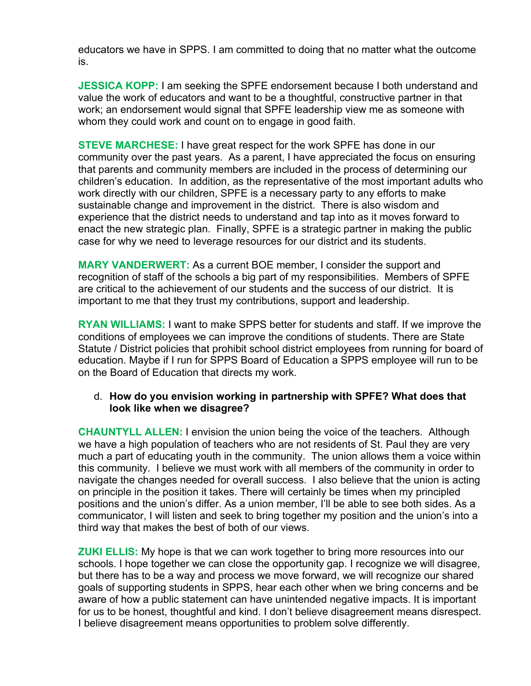educators we have in SPPS. I am committed to doing that no matter what the outcome is.

**JESSICA KOPP:** I am seeking the SPFE endorsement because I both understand and value the work of educators and want to be a thoughtful, constructive partner in that work; an endorsement would signal that SPFE leadership view me as someone with whom they could work and count on to engage in good faith.

**STEVE MARCHESE:** I have great respect for the work SPFE has done in our community over the past years. As a parent, I have appreciated the focus on ensuring that parents and community members are included in the process of determining our children's education. In addition, as the representative of the most important adults who work directly with our children, SPFE is a necessary party to any efforts to make sustainable change and improvement in the district. There is also wisdom and experience that the district needs to understand and tap into as it moves forward to enact the new strategic plan. Finally, SPFE is a strategic partner in making the public case for why we need to leverage resources for our district and its students.

**MARY VANDERWERT:** As a current BOE member, I consider the support and recognition of staff of the schools a big part of my responsibilities. Members of SPFE are critical to the achievement of our students and the success of our district. It is important to me that they trust my contributions, support and leadership.

**RYAN WILLIAMS:** I want to make SPPS better for students and staff. If we improve the conditions of employees we can improve the conditions of students. There are State Statute / District policies that prohibit school district employees from running for board of education. Maybe if I run for SPPS Board of Education a SPPS employee will run to be on the Board of Education that directs my work.

# d. **How do you envision working in partnership with SPFE? What does that look like when we disagree?**

**CHAUNTYLL ALLEN:** I envision the union being the voice of the teachers. Although we have a high population of teachers who are not residents of St. Paul they are very much a part of educating youth in the community. The union allows them a voice within this community. I believe we must work with all members of the community in order to navigate the changes needed for overall success. I also believe that the union is acting on principle in the position it takes. There will certainly be times when my principled positions and the union's differ. As a union member, I'll be able to see both sides. As a communicator, I will listen and seek to bring together my position and the union's into a third way that makes the best of both of our views.

**ZUKI ELLIS:** My hope is that we can work together to bring more resources into our schools. I hope together we can close the opportunity gap. I recognize we will disagree, but there has to be a way and process we move forward, we will recognize our shared goals of supporting students in SPPS, hear each other when we bring concerns and be aware of how a public statement can have unintended negative impacts. It is important for us to be honest, thoughtful and kind. I don't believe disagreement means disrespect. I believe disagreement means opportunities to problem solve differently.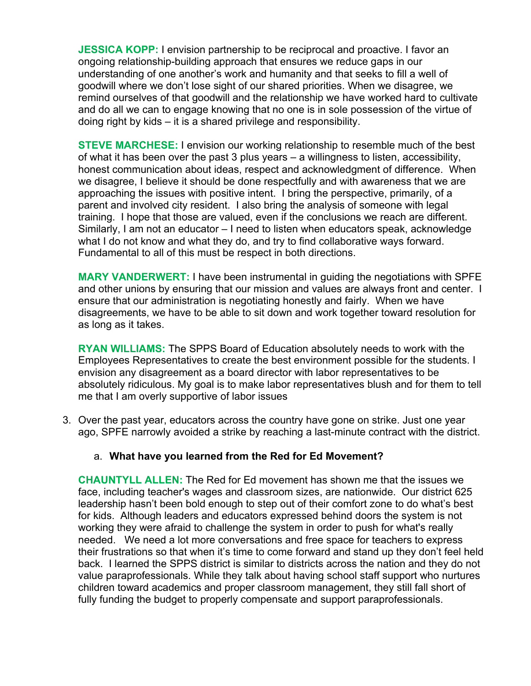**JESSICA KOPP:** I envision partnership to be reciprocal and proactive. I favor an ongoing relationship-building approach that ensures we reduce gaps in our understanding of one another's work and humanity and that seeks to fill a well of goodwill where we don't lose sight of our shared priorities. When we disagree, we remind ourselves of that goodwill and the relationship we have worked hard to cultivate and do all we can to engage knowing that no one is in sole possession of the virtue of doing right by kids – it is a shared privilege and responsibility.

**STEVE MARCHESE:** I envision our working relationship to resemble much of the best of what it has been over the past 3 plus years – a willingness to listen, accessibility, honest communication about ideas, respect and acknowledgment of difference. When we disagree, I believe it should be done respectfully and with awareness that we are approaching the issues with positive intent. I bring the perspective, primarily, of a parent and involved city resident. I also bring the analysis of someone with legal training. I hope that those are valued, even if the conclusions we reach are different. Similarly, I am not an educator – I need to listen when educators speak, acknowledge what I do not know and what they do, and try to find collaborative ways forward. Fundamental to all of this must be respect in both directions.

**MARY VANDERWERT:** I have been instrumental in guiding the negotiations with SPFE and other unions by ensuring that our mission and values are always front and center. I ensure that our administration is negotiating honestly and fairly. When we have disagreements, we have to be able to sit down and work together toward resolution for as long as it takes.

**RYAN WILLIAMS:** The SPPS Board of Education absolutely needs to work with the Employees Representatives to create the best environment possible for the students. I envision any disagreement as a board director with labor representatives to be absolutely ridiculous. My goal is to make labor representatives blush and for them to tell me that I am overly supportive of labor issues

3. Over the past year, educators across the country have gone on strike. Just one year ago, SPFE narrowly avoided a strike by reaching a last-minute contract with the district.

# a. **What have you learned from the Red for Ed Movement?**

**CHAUNTYLL ALLEN:** The Red for Ed movement has shown me that the issues we face, including teacher's wages and classroom sizes, are nationwide. Our district 625 leadership hasn't been bold enough to step out of their comfort zone to do what's best for kids. Although leaders and educators expressed behind doors the system is not working they were afraid to challenge the system in order to push for what's really needed. We need a lot more conversations and free space for teachers to express their frustrations so that when it's time to come forward and stand up they don't feel held back. I learned the SPPS district is similar to districts across the nation and they do not value paraprofessionals. While they talk about having school staff support who nurtures children toward academics and proper classroom management, they still fall short of fully funding the budget to properly compensate and support paraprofessionals.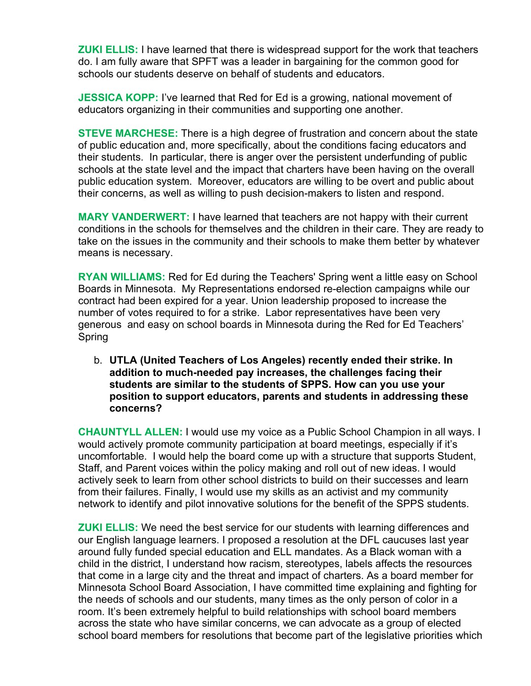**ZUKI ELLIS:** I have learned that there is widespread support for the work that teachers do. I am fully aware that SPFT was a leader in bargaining for the common good for schools our students deserve on behalf of students and educators.

**JESSICA KOPP:** I've learned that Red for Ed is a growing, national movement of educators organizing in their communities and supporting one another.

**STEVE MARCHESE:** There is a high degree of frustration and concern about the state of public education and, more specifically, about the conditions facing educators and their students. In particular, there is anger over the persistent underfunding of public schools at the state level and the impact that charters have been having on the overall public education system. Moreover, educators are willing to be overt and public about their concerns, as well as willing to push decision-makers to listen and respond.

**MARY VANDERWERT:** I have learned that teachers are not happy with their current conditions in the schools for themselves and the children in their care. They are ready to take on the issues in the community and their schools to make them better by whatever means is necessary.

**RYAN WILLIAMS:** Red for Ed during the Teachers' Spring went a little easy on School Boards in Minnesota. My Representations endorsed re-election campaigns while our contract had been expired for a year. Union leadership proposed to increase the number of votes required to for a strike. Labor representatives have been very generous and easy on school boards in Minnesota during the Red for Ed Teachers' Spring

b. **UTLA (United Teachers of Los Angeles) recently ended their strike. In addition to much-needed pay increases, the challenges facing their students are similar to the students of SPPS. How can you use your position to support educators, parents and students in addressing these concerns?**

**CHAUNTYLL ALLEN:** I would use my voice as a Public School Champion in all ways. I would actively promote community participation at board meetings, especially if it's uncomfortable. I would help the board come up with a structure that supports Student, Staff, and Parent voices within the policy making and roll out of new ideas. I would actively seek to learn from other school districts to build on their successes and learn from their failures. Finally, I would use my skills as an activist and my community network to identify and pilot innovative solutions for the benefit of the SPPS students.

**ZUKI ELLIS:** We need the best service for our students with learning differences and our English language learners. I proposed a resolution at the DFL caucuses last year around fully funded special education and ELL mandates. As a Black woman with a child in the district, I understand how racism, stereotypes, labels affects the resources that come in a large city and the threat and impact of charters. As a board member for Minnesota School Board Association, I have committed time explaining and fighting for the needs of schools and our students, many times as the only person of color in a room. It's been extremely helpful to build relationships with school board members across the state who have similar concerns, we can advocate as a group of elected school board members for resolutions that become part of the legislative priorities which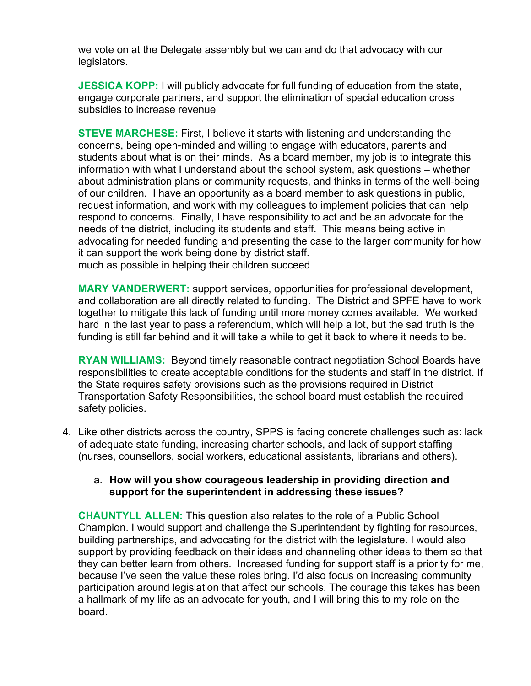we vote on at the Delegate assembly but we can and do that advocacy with our legislators.

**JESSICA KOPP:** I will publicly advocate for full funding of education from the state, engage corporate partners, and support the elimination of special education cross subsidies to increase revenue

**STEVE MARCHESE:** First, I believe it starts with listening and understanding the concerns, being open-minded and willing to engage with educators, parents and students about what is on their minds. As a board member, my job is to integrate this information with what I understand about the school system, ask questions – whether about administration plans or community requests, and thinks in terms of the well-being of our children. I have an opportunity as a board member to ask questions in public, request information, and work with my colleagues to implement policies that can help respond to concerns. Finally, I have responsibility to act and be an advocate for the needs of the district, including its students and staff. This means being active in advocating for needed funding and presenting the case to the larger community for how it can support the work being done by district staff. much as possible in helping their children succeed

**MARY VANDERWERT:** support services, opportunities for professional development, and collaboration are all directly related to funding. The District and SPFE have to work together to mitigate this lack of funding until more money comes available. We worked hard in the last year to pass a referendum, which will help a lot, but the sad truth is the funding is still far behind and it will take a while to get it back to where it needs to be.

**RYAN WILLIAMS:** Beyond timely reasonable contract negotiation School Boards have responsibilities to create acceptable conditions for the students and staff in the district. If the State requires safety provisions such as the provisions required in District Transportation Safety Responsibilities, the school board must establish the required safety policies.

4. Like other districts across the country, SPPS is facing concrete challenges such as: lack of adequate state funding, increasing charter schools, and lack of support staffing (nurses, counsellors, social workers, educational assistants, librarians and others).

# a. **How will you show courageous leadership in providing direction and support for the superintendent in addressing these issues?**

**CHAUNTYLL ALLEN:** This question also relates to the role of a Public School Champion. I would support and challenge the Superintendent by fighting for resources, building partnerships, and advocating for the district with the legislature. I would also support by providing feedback on their ideas and channeling other ideas to them so that they can better learn from others. Increased funding for support staff is a priority for me, because I've seen the value these roles bring. I'd also focus on increasing community participation around legislation that affect our schools. The courage this takes has been a hallmark of my life as an advocate for youth, and I will bring this to my role on the board.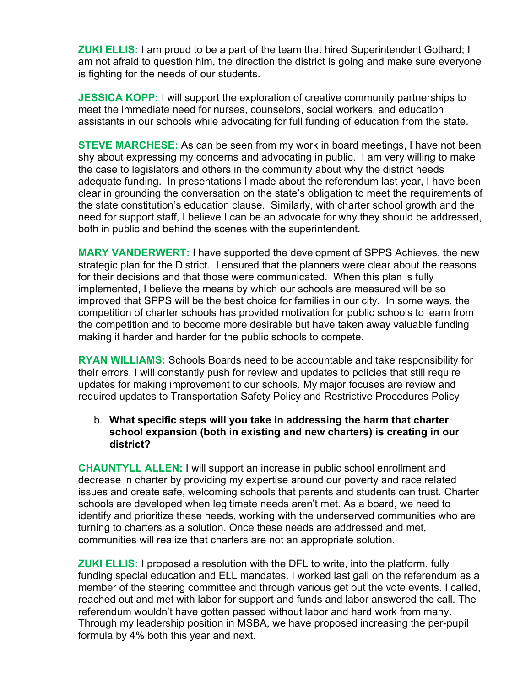**ZUKI ELLIS:** I am proud to be a part of the team that hired Superintendent Gothard; I am not afraid to question him, the direction the district is going and make sure everyone is fighting for the needs of our students.

**JESSICA KOPP:** I will support the exploration of creative community partnerships to meet the immediate need for nurses, counselors, social workers, and education assistants in our schools while advocating for full funding of education from the state.

**STEVE MARCHESE:** As can be seen from my work in board meetings, I have not been shy about expressing my concerns and advocating in public. I am very willing to make the case to legislators and others in the community about why the district needs adequate funding. In presentations I made about the referendum last year, I have been clear in grounding the conversation on the state's obligation to meet the requirements of the state constitution's education clause. Similarly, with charter school growth and the need for support staff, I believe I can be an advocate for why they should be addressed, both in public and behind the scenes with the superintendent.

**MARY VANDERWERT:** I have supported the development of SPPS Achieves, the new strategic plan for the District. I ensured that the planners were clear about the reasons for their decisions and that those were communicated. When this plan is fully implemented, I believe the means by which our schools are measured will be so improved that SPPS will be the best choice for families in our city. In some ways, the competition of charter schools has provided motivation for public schools to learn from the competition and to become more desirable but have taken away valuable funding making it harder and harder for the public schools to compete.

**RYAN WILLIAMS:** Schools Boards need to be accountable and take responsibility for their errors. I will constantly push for review and updates to policies that still require updates for making improvement to our schools. My major focuses are review and required updates to Transportation Safety Policy and Restrictive Procedures Policy

# b. **What specific steps will you take in addressing the harm that charter school expansion (both in existing and new charters) is creating in our district?**

**CHAUNTYLL ALLEN:** I will support an increase in public school enrollment and decrease in charter by providing my expertise around our poverty and race related issues and create safe, welcoming schools that parents and students can trust. Charter schools are developed when legitimate needs aren't met. As a board, we need to identify and prioritize these needs, working with the underserved communities who are turning to charters as a solution. Once these needs are addressed and met, communities will realize that charters are not an appropriate solution.

**ZUKI ELLIS:** I proposed a resolution with the DFL to write, into the platform, fully funding special education and ELL mandates. I worked last gall on the referendum as a member of the steering committee and through various get out the vote events. I called, reached out and met with labor for support and funds and labor answered the call. The referendum wouldn't have gotten passed without labor and hard work from many. Through my leadership position in MSBA, we have proposed increasing the per-pupil formula by 4% both this year and next.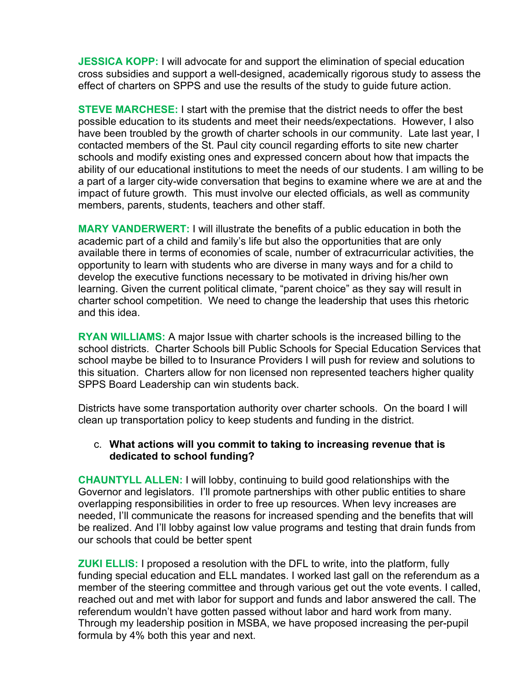**JESSICA KOPP:** I will advocate for and support the elimination of special education cross subsidies and support a well-designed, academically rigorous study to assess the effect of charters on SPPS and use the results of the study to guide future action.

**STEVE MARCHESE:** I start with the premise that the district needs to offer the best possible education to its students and meet their needs/expectations. However, I also have been troubled by the growth of charter schools in our community. Late last year, I contacted members of the St. Paul city council regarding efforts to site new charter schools and modify existing ones and expressed concern about how that impacts the ability of our educational institutions to meet the needs of our students. I am willing to be a part of a larger city-wide conversation that begins to examine where we are at and the impact of future growth. This must involve our elected officials, as well as community members, parents, students, teachers and other staff.

**MARY VANDERWERT:** I will illustrate the benefits of a public education in both the academic part of a child and family's life but also the opportunities that are only available there in terms of economies of scale, number of extracurricular activities, the opportunity to learn with students who are diverse in many ways and for a child to develop the executive functions necessary to be motivated in driving his/her own learning. Given the current political climate, "parent choice" as they say will result in charter school competition. We need to change the leadership that uses this rhetoric and this idea.

**RYAN WILLIAMS:** A major Issue with charter schools is the increased billing to the school districts. Charter Schools bill Public Schools for Special Education Services that school maybe be billed to to Insurance Providers I will push for review and solutions to this situation. Charters allow for non licensed non represented teachers higher quality SPPS Board Leadership can win students back.

Districts have some transportation authority over charter schools. On the board I will clean up transportation policy to keep students and funding in the district.

# c. **What actions will you commit to taking to increasing revenue that is dedicated to school funding?**

**CHAUNTYLL ALLEN:** I will lobby, continuing to build good relationships with the Governor and legislators. I'll promote partnerships with other public entities to share overlapping responsibilities in order to free up resources. When levy increases are needed, I'll communicate the reasons for increased spending and the benefits that will be realized. And I'll lobby against low value programs and testing that drain funds from our schools that could be better spent

**ZUKI ELLIS:** I proposed a resolution with the DFL to write, into the platform, fully funding special education and ELL mandates. I worked last gall on the referendum as a member of the steering committee and through various get out the vote events. I called, reached out and met with labor for support and funds and labor answered the call. The referendum wouldn't have gotten passed without labor and hard work from many. Through my leadership position in MSBA, we have proposed increasing the per-pupil formula by 4% both this year and next.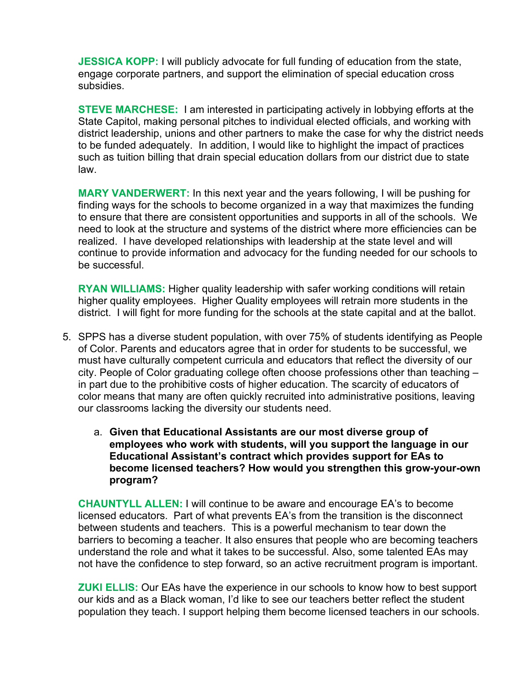**JESSICA KOPP:** I will publicly advocate for full funding of education from the state, engage corporate partners, and support the elimination of special education cross subsidies.

**STEVE MARCHESE:** I am interested in participating actively in lobbying efforts at the State Capitol, making personal pitches to individual elected officials, and working with district leadership, unions and other partners to make the case for why the district needs to be funded adequately. In addition, I would like to highlight the impact of practices such as tuition billing that drain special education dollars from our district due to state law.

**MARY VANDERWERT:** In this next year and the years following, I will be pushing for finding ways for the schools to become organized in a way that maximizes the funding to ensure that there are consistent opportunities and supports in all of the schools. We need to look at the structure and systems of the district where more efficiencies can be realized. I have developed relationships with leadership at the state level and will continue to provide information and advocacy for the funding needed for our schools to be successful.

**RYAN WILLIAMS:** Higher quality leadership with safer working conditions will retain higher quality employees. Higher Quality employees will retrain more students in the district. I will fight for more funding for the schools at the state capital and at the ballot.

- 5. SPPS has a diverse student population, with over 75% of students identifying as People of Color. Parents and educators agree that in order for students to be successful, we must have culturally competent curricula and educators that reflect the diversity of our city. People of Color graduating college often choose professions other than teaching – in part due to the prohibitive costs of higher education. The scarcity of educators of color means that many are often quickly recruited into administrative positions, leaving our classrooms lacking the diversity our students need.
	- a. **Given that Educational Assistants are our most diverse group of employees who work with students, will you support the language in our Educational Assistant's contract which provides support for EAs to become licensed teachers? How would you strengthen this grow-your-own program?**

**CHAUNTYLL ALLEN:** I will continue to be aware and encourage EA's to become licensed educators. Part of what prevents EA's from the transition is the disconnect between students and teachers. This is a powerful mechanism to tear down the barriers to becoming a teacher. It also ensures that people who are becoming teachers understand the role and what it takes to be successful. Also, some talented EAs may not have the confidence to step forward, so an active recruitment program is important.

**ZUKI ELLIS:** Our EAs have the experience in our schools to know how to best support our kids and as a Black woman, I'd like to see our teachers better reflect the student population they teach. I support helping them become licensed teachers in our schools.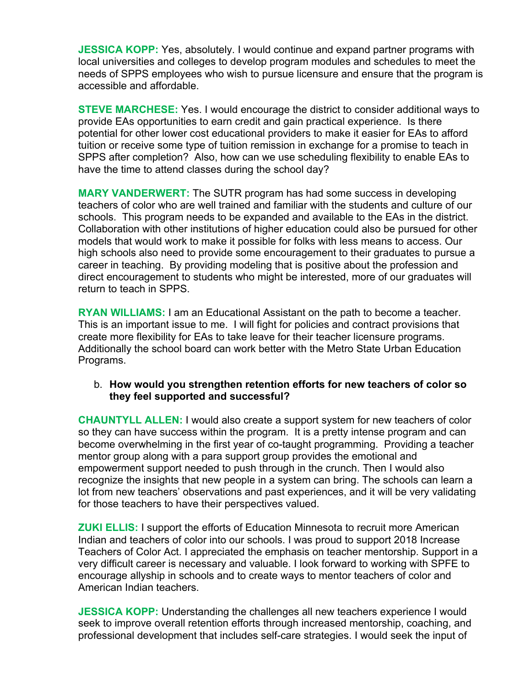**JESSICA KOPP:** Yes, absolutely. I would continue and expand partner programs with local universities and colleges to develop program modules and schedules to meet the needs of SPPS employees who wish to pursue licensure and ensure that the program is accessible and affordable.

**STEVE MARCHESE:** Yes. I would encourage the district to consider additional ways to provide EAs opportunities to earn credit and gain practical experience. Is there potential for other lower cost educational providers to make it easier for EAs to afford tuition or receive some type of tuition remission in exchange for a promise to teach in SPPS after completion? Also, how can we use scheduling flexibility to enable EAs to have the time to attend classes during the school day?

**MARY VANDERWERT:** The SUTR program has had some success in developing teachers of color who are well trained and familiar with the students and culture of our schools. This program needs to be expanded and available to the EAs in the district. Collaboration with other institutions of higher education could also be pursued for other models that would work to make it possible for folks with less means to access. Our high schools also need to provide some encouragement to their graduates to pursue a career in teaching. By providing modeling that is positive about the profession and direct encouragement to students who might be interested, more of our graduates will return to teach in SPPS.

**RYAN WILLIAMS:** I am an Educational Assistant on the path to become a teacher. This is an important issue to me. I will fight for policies and contract provisions that create more flexibility for EAs to take leave for their teacher licensure programs. Additionally the school board can work better with the Metro State Urban Education Programs.

# b. **How would you strengthen retention efforts for new teachers of color so they feel supported and successful?**

**CHAUNTYLL ALLEN:** I would also create a support system for new teachers of color so they can have success within the program. It is a pretty intense program and can become overwhelming in the first year of co-taught programming. Providing a teacher mentor group along with a para support group provides the emotional and empowerment support needed to push through in the crunch. Then I would also recognize the insights that new people in a system can bring. The schools can learn a lot from new teachers' observations and past experiences, and it will be very validating for those teachers to have their perspectives valued.

**ZUKI ELLIS:** I support the efforts of Education Minnesota to recruit more American Indian and teachers of color into our schools. I was proud to support 2018 Increase Teachers of Color Act. I appreciated the emphasis on teacher mentorship. Support in a very difficult career is necessary and valuable. I look forward to working with SPFE to encourage allyship in schools and to create ways to mentor teachers of color and American Indian teachers.

**JESSICA KOPP:** Understanding the challenges all new teachers experience I would seek to improve overall retention efforts through increased mentorship, coaching, and professional development that includes self-care strategies. I would seek the input of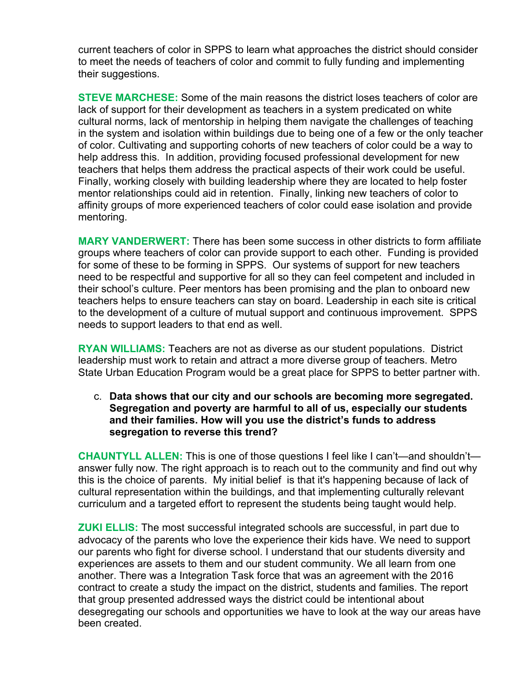current teachers of color in SPPS to learn what approaches the district should consider to meet the needs of teachers of color and commit to fully funding and implementing their suggestions.

**STEVE MARCHESE:** Some of the main reasons the district loses teachers of color are lack of support for their development as teachers in a system predicated on white cultural norms, lack of mentorship in helping them navigate the challenges of teaching in the system and isolation within buildings due to being one of a few or the only teacher of color. Cultivating and supporting cohorts of new teachers of color could be a way to help address this. In addition, providing focused professional development for new teachers that helps them address the practical aspects of their work could be useful. Finally, working closely with building leadership where they are located to help foster mentor relationships could aid in retention. Finally, linking new teachers of color to affinity groups of more experienced teachers of color could ease isolation and provide mentoring.

**MARY VANDERWERT:** There has been some success in other districts to form affiliate groups where teachers of color can provide support to each other. Funding is provided for some of these to be forming in SPPS. Our systems of support for new teachers need to be respectful and supportive for all so they can feel competent and included in their school's culture. Peer mentors has been promising and the plan to onboard new teachers helps to ensure teachers can stay on board. Leadership in each site is critical to the development of a culture of mutual support and continuous improvement. SPPS needs to support leaders to that end as well.

**RYAN WILLIAMS:** Teachers are not as diverse as our student populations. District leadership must work to retain and attract a more diverse group of teachers. Metro State Urban Education Program would be a great place for SPPS to better partner with.

c. **Data shows that our city and our schools are becoming more segregated. Segregation and poverty are harmful to all of us, especially our students and their families. How will you use the district's funds to address segregation to reverse this trend?**

**CHAUNTYLL ALLEN:** This is one of those questions I feel like I can't—and shouldn't answer fully now. The right approach is to reach out to the community and find out why this is the choice of parents. My initial belief is that it's happening because of lack of cultural representation within the buildings, and that implementing culturally relevant curriculum and a targeted effort to represent the students being taught would help.

**ZUKI ELLIS:** The most successful integrated schools are successful, in part due to advocacy of the parents who love the experience their kids have. We need to support our parents who fight for diverse school. I understand that our students diversity and experiences are assets to them and our student community. We all learn from one another. There was a Integration Task force that was an agreement with the 2016 contract to create a study the impact on the district, students and families. The report that group presented addressed ways the district could be intentional about desegregating our schools and opportunities we have to look at the way our areas have been created.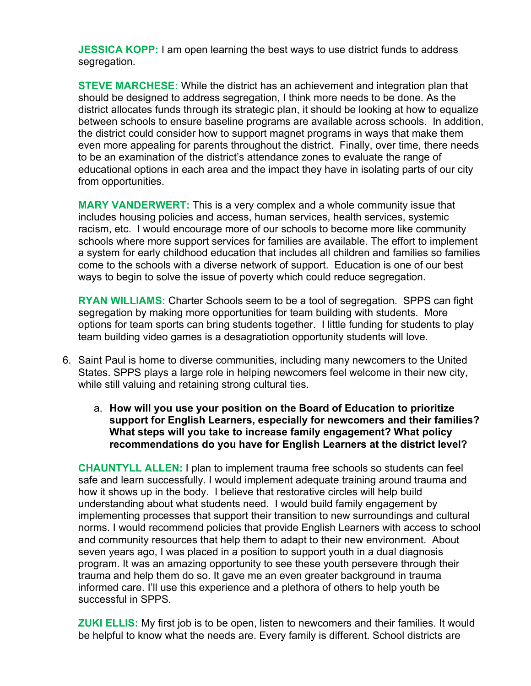**JESSICA KOPP:** I am open learning the best ways to use district funds to address segregation.

**STEVE MARCHESE:** While the district has an achievement and integration plan that should be designed to address segregation, I think more needs to be done. As the district allocates funds through its strategic plan, it should be looking at how to equalize between schools to ensure baseline programs are available across schools. In addition, the district could consider how to support magnet programs in ways that make them even more appealing for parents throughout the district. Finally, over time, there needs to be an examination of the district's attendance zones to evaluate the range of educational options in each area and the impact they have in isolating parts of our city from opportunities.

**MARY VANDERWERT:** This is a very complex and a whole community issue that includes housing policies and access, human services, health services, systemic racism, etc. I would encourage more of our schools to become more like community schools where more support services for families are available. The effort to implement a system for early childhood education that includes all children and families so families come to the schools with a diverse network of support. Education is one of our best ways to begin to solve the issue of poverty which could reduce segregation.

**RYAN WILLIAMS:** Charter Schools seem to be a tool of segregation. SPPS can fight segregation by making more opportunities for team building with students. More options for team sports can bring students together. I little funding for students to play team building video games is a desagratiotion opportunity students will love.

- 6. Saint Paul is home to diverse communities, including many newcomers to the United States. SPPS plays a large role in helping newcomers feel welcome in their new city, while still valuing and retaining strong cultural ties.
	- a. **How will you use your position on the Board of Education to prioritize support for English Learners, especially for newcomers and their families? What steps will you take to increase family engagement? What policy recommendations do you have for English Learners at the district level?**

**CHAUNTYLL ALLEN:** I plan to implement trauma free schools so students can feel safe and learn successfully. I would implement adequate training around trauma and how it shows up in the body. I believe that restorative circles will help build understanding about what students need. I would build family engagement by implementing processes that support their transition to new surroundings and cultural norms. I would recommend policies that provide English Learners with access to school and community resources that help them to adapt to their new environment. About seven years ago, I was placed in a position to support youth in a dual diagnosis program. It was an amazing opportunity to see these youth persevere through their trauma and help them do so. It gave me an even greater background in trauma informed care. I'll use this experience and a plethora of others to help youth be successful in SPPS.

**ZUKI ELLIS:** My first job is to be open, listen to newcomers and their families. It would be helpful to know what the needs are. Every family is different. School districts are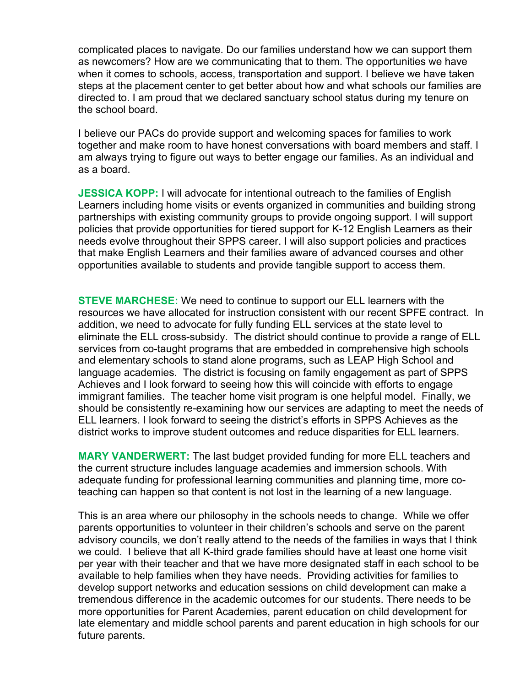complicated places to navigate. Do our families understand how we can support them as newcomers? How are we communicating that to them. The opportunities we have when it comes to schools, access, transportation and support. I believe we have taken steps at the placement center to get better about how and what schools our families are directed to. I am proud that we declared sanctuary school status during my tenure on the school board.

I believe our PACs do provide support and welcoming spaces for families to work together and make room to have honest conversations with board members and staff. I am always trying to figure out ways to better engage our families. As an individual and as a board.

**JESSICA KOPP:** I will advocate for intentional outreach to the families of English Learners including home visits or events organized in communities and building strong partnerships with existing community groups to provide ongoing support. I will support policies that provide opportunities for tiered support for K-12 English Learners as their needs evolve throughout their SPPS career. I will also support policies and practices that make English Learners and their families aware of advanced courses and other opportunities available to students and provide tangible support to access them.

**STEVE MARCHESE:** We need to continue to support our ELL learners with the resources we have allocated for instruction consistent with our recent SPFE contract. In addition, we need to advocate for fully funding ELL services at the state level to eliminate the ELL cross-subsidy. The district should continue to provide a range of ELL services from co-taught programs that are embedded in comprehensive high schools and elementary schools to stand alone programs, such as LEAP High School and language academies. The district is focusing on family engagement as part of SPPS Achieves and I look forward to seeing how this will coincide with efforts to engage immigrant families. The teacher home visit program is one helpful model. Finally, we should be consistently re-examining how our services are adapting to meet the needs of ELL learners. I look forward to seeing the district's efforts in SPPS Achieves as the district works to improve student outcomes and reduce disparities for ELL learners.

**MARY VANDERWERT:** The last budget provided funding for more ELL teachers and the current structure includes language academies and immersion schools. With adequate funding for professional learning communities and planning time, more coteaching can happen so that content is not lost in the learning of a new language.

This is an area where our philosophy in the schools needs to change. While we offer parents opportunities to volunteer in their children's schools and serve on the parent advisory councils, we don't really attend to the needs of the families in ways that I think we could. I believe that all K-third grade families should have at least one home visit per year with their teacher and that we have more designated staff in each school to be available to help families when they have needs. Providing activities for families to develop support networks and education sessions on child development can make a tremendous difference in the academic outcomes for our students. There needs to be more opportunities for Parent Academies, parent education on child development for late elementary and middle school parents and parent education in high schools for our future parents.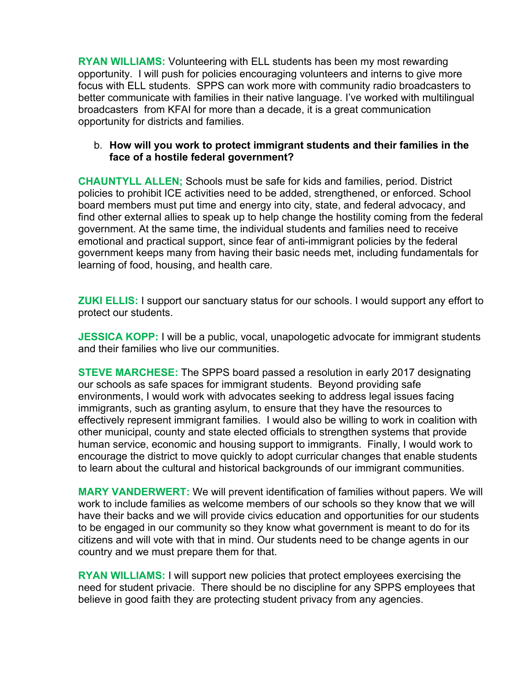**RYAN WILLIAMS:** Volunteering with ELL students has been my most rewarding opportunity. I will push for policies encouraging volunteers and interns to give more focus with ELL students. SPPS can work more with community radio broadcasters to better communicate with families in their native language. I've worked with multilingual broadcasters from KFAI for more than a decade, it is a great communication opportunity for districts and families.

# b. **How will you work to protect immigrant students and their families in the face of a hostile federal government?**

**CHAUNTYLL ALLEN;** Schools must be safe for kids and families, period. District policies to prohibit ICE activities need to be added, strengthened, or enforced. School board members must put time and energy into city, state, and federal advocacy, and find other external allies to speak up to help change the hostility coming from the federal government. At the same time, the individual students and families need to receive emotional and practical support, since fear of anti-immigrant policies by the federal government keeps many from having their basic needs met, including fundamentals for learning of food, housing, and health care.

**ZUKI ELLIS:** I support our sanctuary status for our schools. I would support any effort to protect our students.

**JESSICA KOPP:** I will be a public, vocal, unapologetic advocate for immigrant students and their families who live our communities.

**STEVE MARCHESE:** The SPPS board passed a resolution in early 2017 designating our schools as safe spaces for immigrant students. Beyond providing safe environments, I would work with advocates seeking to address legal issues facing immigrants, such as granting asylum, to ensure that they have the resources to effectively represent immigrant families. I would also be willing to work in coalition with other municipal, county and state elected officials to strengthen systems that provide human service, economic and housing support to immigrants. Finally, I would work to encourage the district to move quickly to adopt curricular changes that enable students to learn about the cultural and historical backgrounds of our immigrant communities.

**MARY VANDERWERT:** We will prevent identification of families without papers. We will work to include families as welcome members of our schools so they know that we will have their backs and we will provide civics education and opportunities for our students to be engaged in our community so they know what government is meant to do for its citizens and will vote with that in mind. Our students need to be change agents in our country and we must prepare them for that.

**RYAN WILLIAMS:** I will support new policies that protect employees exercising the need for student privacie. There should be no discipline for any SPPS employees that believe in good faith they are protecting student privacy from any agencies.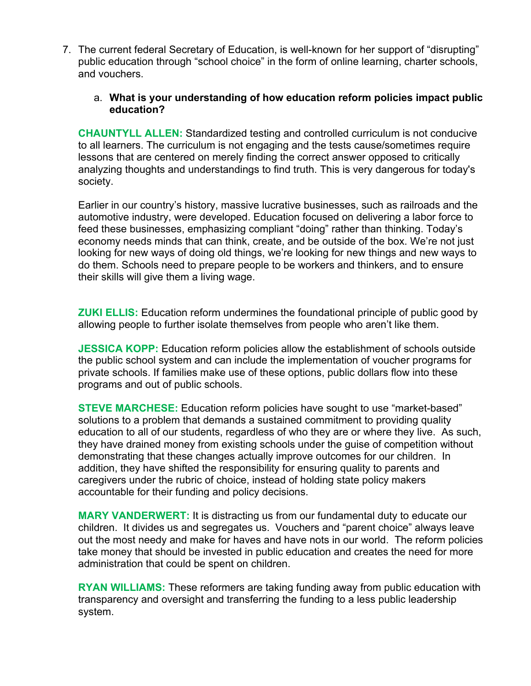7. The current federal Secretary of Education, is well-known for her support of "disrupting" public education through "school choice" in the form of online learning, charter schools, and vouchers.

# a. **What is your understanding of how education reform policies impact public education?**

**CHAUNTYLL ALLEN:** Standardized testing and controlled curriculum is not conducive to all learners. The curriculum is not engaging and the tests cause/sometimes require lessons that are centered on merely finding the correct answer opposed to critically analyzing thoughts and understandings to find truth. This is very dangerous for today's society.

Earlier in our country's history, massive lucrative businesses, such as railroads and the automotive industry, were developed. Education focused on delivering a labor force to feed these businesses, emphasizing compliant "doing" rather than thinking. Today's economy needs minds that can think, create, and be outside of the box. We're not just looking for new ways of doing old things, we're looking for new things and new ways to do them. Schools need to prepare people to be workers and thinkers, and to ensure their skills will give them a living wage.

**ZUKI ELLIS:** Education reform undermines the foundational principle of public good by allowing people to further isolate themselves from people who aren't like them.

**JESSICA KOPP:** Education reform policies allow the establishment of schools outside the public school system and can include the implementation of voucher programs for private schools. If families make use of these options, public dollars flow into these programs and out of public schools.

**STEVE MARCHESE:** Education reform policies have sought to use "market-based" solutions to a problem that demands a sustained commitment to providing quality education to all of our students, regardless of who they are or where they live. As such, they have drained money from existing schools under the guise of competition without demonstrating that these changes actually improve outcomes for our children. In addition, they have shifted the responsibility for ensuring quality to parents and caregivers under the rubric of choice, instead of holding state policy makers accountable for their funding and policy decisions.

**MARY VANDERWERT:** It is distracting us from our fundamental duty to educate our children. It divides us and segregates us. Vouchers and "parent choice" always leave out the most needy and make for haves and have nots in our world. The reform policies take money that should be invested in public education and creates the need for more administration that could be spent on children.

**RYAN WILLIAMS:** These reformers are taking funding away from public education with transparency and oversight and transferring the funding to a less public leadership system.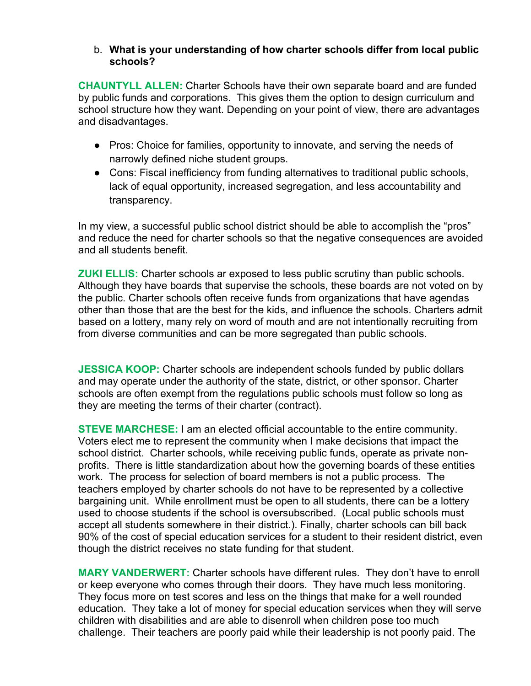#### b. **What is your understanding of how charter schools differ from local public schools?**

**CHAUNTYLL ALLEN:** Charter Schools have their own separate board and are funded by public funds and corporations. This gives them the option to design curriculum and school structure how they want. Depending on your point of view, there are advantages and disadvantages.

- Pros: Choice for families, opportunity to innovate, and serving the needs of narrowly defined niche student groups.
- Cons: Fiscal inefficiency from funding alternatives to traditional public schools, lack of equal opportunity, increased segregation, and less accountability and transparency.

In my view, a successful public school district should be able to accomplish the "pros" and reduce the need for charter schools so that the negative consequences are avoided and all students benefit.

**ZUKI ELLIS:** Charter schools ar exposed to less public scrutiny than public schools. Although they have boards that supervise the schools, these boards are not voted on by the public. Charter schools often receive funds from organizations that have agendas other than those that are the best for the kids, and influence the schools. Charters admit based on a lottery, many rely on word of mouth and are not intentionally recruiting from from diverse communities and can be more segregated than public schools.

**JESSICA KOOP:** Charter schools are independent schools funded by public dollars and may operate under the authority of the state, district, or other sponsor. Charter schools are often exempt from the regulations public schools must follow so long as they are meeting the terms of their charter (contract).

**STEVE MARCHESE:** I am an elected official accountable to the entire community. Voters elect me to represent the community when I make decisions that impact the school district. Charter schools, while receiving public funds, operate as private nonprofits. There is little standardization about how the governing boards of these entities work. The process for selection of board members is not a public process. The teachers employed by charter schools do not have to be represented by a collective bargaining unit. While enrollment must be open to all students, there can be a lottery used to choose students if the school is oversubscribed. (Local public schools must accept all students somewhere in their district.). Finally, charter schools can bill back 90% of the cost of special education services for a student to their resident district, even though the district receives no state funding for that student.

**MARY VANDERWERT:** Charter schools have different rules. They don't have to enroll or keep everyone who comes through their doors. They have much less monitoring. They focus more on test scores and less on the things that make for a well rounded education. They take a lot of money for special education services when they will serve children with disabilities and are able to disenroll when children pose too much challenge. Their teachers are poorly paid while their leadership is not poorly paid. The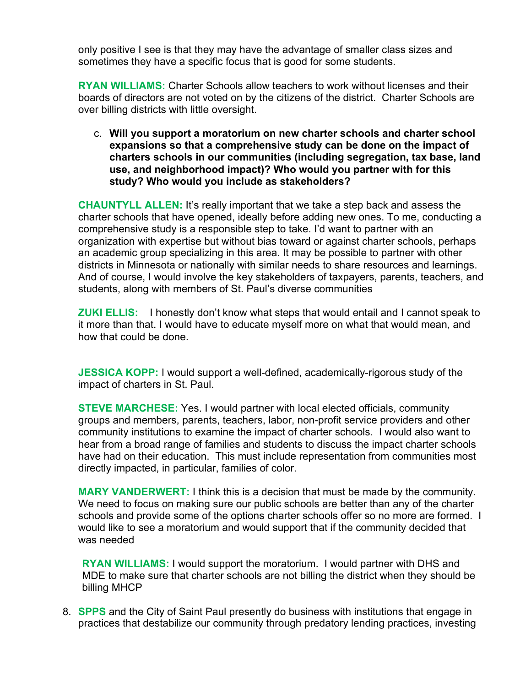only positive I see is that they may have the advantage of smaller class sizes and sometimes they have a specific focus that is good for some students.

**RYAN WILLIAMS:** Charter Schools allow teachers to work without licenses and their boards of directors are not voted on by the citizens of the district. Charter Schools are over billing districts with little oversight.

c. **Will you support a moratorium on new charter schools and charter school expansions so that a comprehensive study can be done on the impact of charters schools in our communities (including segregation, tax base, land use, and neighborhood impact)? Who would you partner with for this study? Who would you include as stakeholders?**

**CHAUNTYLL ALLEN:** It's really important that we take a step back and assess the charter schools that have opened, ideally before adding new ones. To me, conducting a comprehensive study is a responsible step to take. I'd want to partner with an organization with expertise but without bias toward or against charter schools, perhaps an academic group specializing in this area. It may be possible to partner with other districts in Minnesota or nationally with similar needs to share resources and learnings. And of course, I would involve the key stakeholders of taxpayers, parents, teachers, and students, along with members of St. Paul's diverse communities

**ZUKI ELLIS:** I honestly don't know what steps that would entail and I cannot speak to it more than that. I would have to educate myself more on what that would mean, and how that could be done.

**JESSICA KOPP:** I would support a well-defined, academically-rigorous study of the impact of charters in St. Paul.

**STEVE MARCHESE:** Yes. I would partner with local elected officials, community groups and members, parents, teachers, labor, non-profit service providers and other community institutions to examine the impact of charter schools. I would also want to hear from a broad range of families and students to discuss the impact charter schools have had on their education. This must include representation from communities most directly impacted, in particular, families of color.

**MARY VANDERWERT:** I think this is a decision that must be made by the community. We need to focus on making sure our public schools are better than any of the charter schools and provide some of the options charter schools offer so no more are formed. I would like to see a moratorium and would support that if the community decided that was needed

**RYAN WILLIAMS:** I would support the moratorium. I would partner with DHS and MDE to make sure that charter schools are not billing the district when they should be billing MHCP

8. **SPPS** and the City of Saint Paul presently do business with institutions that engage in practices that destabilize our community through predatory lending practices, investing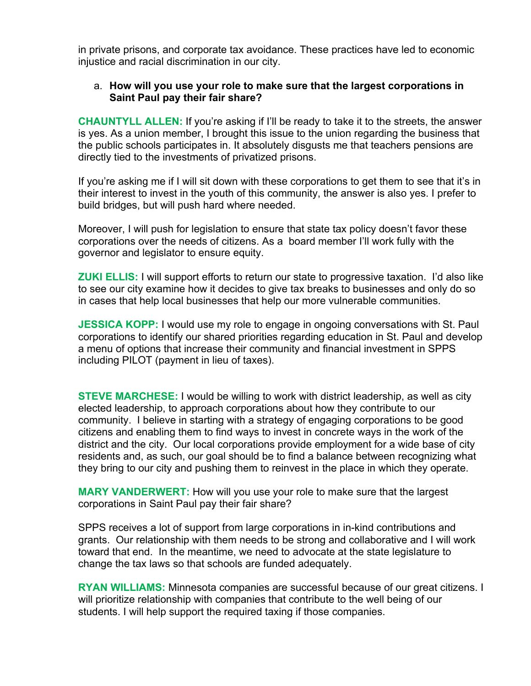in private prisons, and corporate tax avoidance. These practices have led to economic injustice and racial discrimination in our city.

# a. **How will you use your role to make sure that the largest corporations in Saint Paul pay their fair share?**

**CHAUNTYLL ALLEN:** If you're asking if I'll be ready to take it to the streets, the answer is yes. As a union member, I brought this issue to the union regarding the business that the public schools participates in. It absolutely disgusts me that teachers pensions are directly tied to the investments of privatized prisons.

If you're asking me if I will sit down with these corporations to get them to see that it's in their interest to invest in the youth of this community, the answer is also yes. I prefer to build bridges, but will push hard where needed.

Moreover, I will push for legislation to ensure that state tax policy doesn't favor these corporations over the needs of citizens. As a board member I'll work fully with the governor and legislator to ensure equity.

**ZUKI ELLIS:** I will support efforts to return our state to progressive taxation. I'd also like to see our city examine how it decides to give tax breaks to businesses and only do so in cases that help local businesses that help our more vulnerable communities.

**JESSICA KOPP:** I would use my role to engage in ongoing conversations with St. Paul corporations to identify our shared priorities regarding education in St. Paul and develop a menu of options that increase their community and financial investment in SPPS including PILOT (payment in lieu of taxes).

**STEVE MARCHESE:** I would be willing to work with district leadership, as well as city elected leadership, to approach corporations about how they contribute to our community. I believe in starting with a strategy of engaging corporations to be good citizens and enabling them to find ways to invest in concrete ways in the work of the district and the city. Our local corporations provide employment for a wide base of city residents and, as such, our goal should be to find a balance between recognizing what they bring to our city and pushing them to reinvest in the place in which they operate.

**MARY VANDERWERT:** How will you use your role to make sure that the largest corporations in Saint Paul pay their fair share?

SPPS receives a lot of support from large corporations in in-kind contributions and grants. Our relationship with them needs to be strong and collaborative and I will work toward that end. In the meantime, we need to advocate at the state legislature to change the tax laws so that schools are funded adequately.

**RYAN WILLIAMS:** Minnesota companies are successful because of our great citizens. I will prioritize relationship with companies that contribute to the well being of our students. I will help support the required taxing if those companies.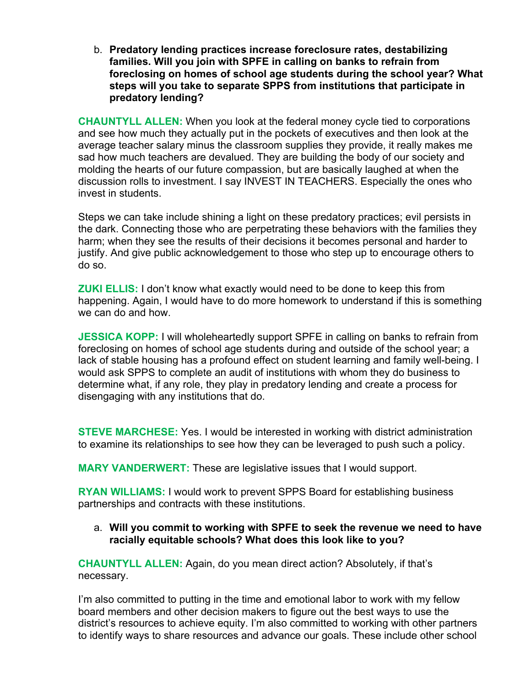b. **Predatory lending practices increase foreclosure rates, destabilizing families. Will you join with SPFE in calling on banks to refrain from foreclosing on homes of school age students during the school year? What steps will you take to separate SPPS from institutions that participate in predatory lending?**

**CHAUNTYLL ALLEN:** When you look at the federal money cycle tied to corporations and see how much they actually put in the pockets of executives and then look at the average teacher salary minus the classroom supplies they provide, it really makes me sad how much teachers are devalued. They are building the body of our society and molding the hearts of our future compassion, but are basically laughed at when the discussion rolls to investment. I say INVEST IN TEACHERS. Especially the ones who invest in students.

Steps we can take include shining a light on these predatory practices; evil persists in the dark. Connecting those who are perpetrating these behaviors with the families they harm; when they see the results of their decisions it becomes personal and harder to justify. And give public acknowledgement to those who step up to encourage others to do so.

**ZUKI ELLIS:** I don't know what exactly would need to be done to keep this from happening. Again, I would have to do more homework to understand if this is something we can do and how.

**JESSICA KOPP:** I will wholeheartedly support SPFE in calling on banks to refrain from foreclosing on homes of school age students during and outside of the school year; a lack of stable housing has a profound effect on student learning and family well-being. I would ask SPPS to complete an audit of institutions with whom they do business to determine what, if any role, they play in predatory lending and create a process for disengaging with any institutions that do.

**STEVE MARCHESE:** Yes. I would be interested in working with district administration to examine its relationships to see how they can be leveraged to push such a policy.

**MARY VANDERWERT:** These are legislative issues that I would support.

**RYAN WILLIAMS:** I would work to prevent SPPS Board for establishing business partnerships and contracts with these institutions.

a. **Will you commit to working with SPFE to seek the revenue we need to have racially equitable schools? What does this look like to you?**

**CHAUNTYLL ALLEN:** Again, do you mean direct action? Absolutely, if that's necessary.

I'm also committed to putting in the time and emotional labor to work with my fellow board members and other decision makers to figure out the best ways to use the district's resources to achieve equity. I'm also committed to working with other partners to identify ways to share resources and advance our goals. These include other school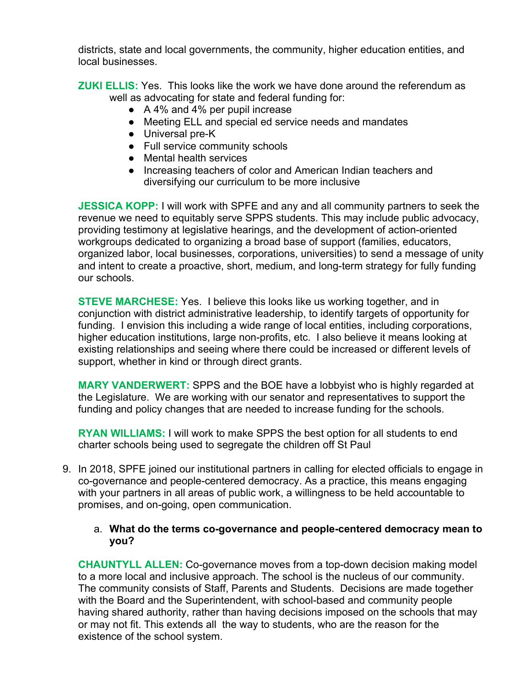districts, state and local governments, the community, higher education entities, and local businesses.

**ZUKI ELLIS:** Yes. This looks like the work we have done around the referendum as well as advocating for state and federal funding for:

- A 4% and 4% per pupil increase
- Meeting ELL and special ed service needs and mandates
- Universal pre-K
- Full service community schools
- Mental health services
- Increasing teachers of color and American Indian teachers and diversifying our curriculum to be more inclusive

**JESSICA KOPP:** I will work with SPFE and any and all community partners to seek the revenue we need to equitably serve SPPS students. This may include public advocacy, providing testimony at legislative hearings, and the development of action-oriented workgroups dedicated to organizing a broad base of support (families, educators, organized labor, local businesses, corporations, universities) to send a message of unity and intent to create a proactive, short, medium, and long-term strategy for fully funding our schools.

**STEVE MARCHESE:** Yes. I believe this looks like us working together, and in conjunction with district administrative leadership, to identify targets of opportunity for funding. I envision this including a wide range of local entities, including corporations, higher education institutions, large non-profits, etc. I also believe it means looking at existing relationships and seeing where there could be increased or different levels of support, whether in kind or through direct grants.

**MARY VANDERWERT:** SPPS and the BOE have a lobbyist who is highly regarded at the Legislature. We are working with our senator and representatives to support the funding and policy changes that are needed to increase funding for the schools.

**RYAN WILLIAMS:** I will work to make SPPS the best option for all students to end charter schools being used to segregate the children off St Paul

9. In 2018, SPFE joined our institutional partners in calling for elected officials to engage in co-governance and people-centered democracy. As a practice, this means engaging with your partners in all areas of public work, a willingness to be held accountable to promises, and on-going, open communication.

# a. **What do the terms co-governance and people-centered democracy mean to you?**

**CHAUNTYLL ALLEN:** Co-governance moves from a top-down decision making model to a more local and inclusive approach. The school is the nucleus of our community. The community consists of Staff, Parents and Students. Decisions are made together with the Board and the Superintendent, with school-based and community people having shared authority, rather than having decisions imposed on the schools that may or may not fit. This extends all the way to students, who are the reason for the existence of the school system.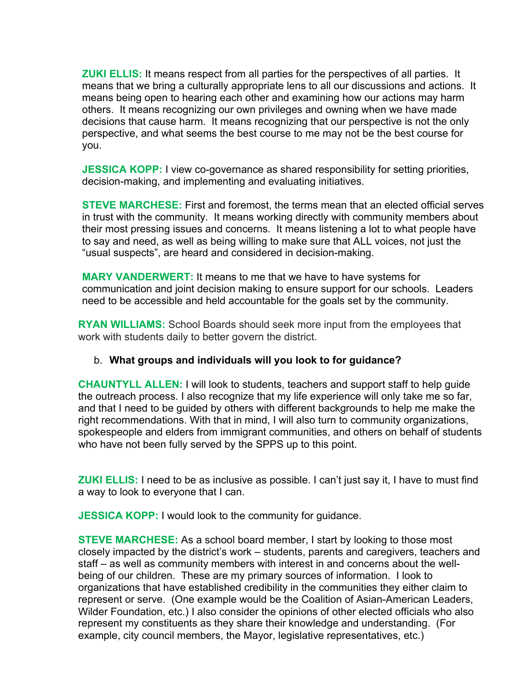**ZUKI ELLIS:** It means respect from all parties for the perspectives of all parties. It means that we bring a culturally appropriate lens to all our discussions and actions. It means being open to hearing each other and examining how our actions may harm others. It means recognizing our own privileges and owning when we have made decisions that cause harm. It means recognizing that our perspective is not the only perspective, and what seems the best course to me may not be the best course for you.

**JESSICA KOPP:** I view co-governance as shared responsibility for setting priorities, decision-making, and implementing and evaluating initiatives.

**STEVE MARCHESE:** First and foremost, the terms mean that an elected official serves in trust with the community. It means working directly with community members about their most pressing issues and concerns. It means listening a lot to what people have to say and need, as well as being willing to make sure that ALL voices, not just the "usual suspects", are heard and considered in decision-making.

**MARY VANDERWERT:** It means to me that we have to have systems for communication and joint decision making to ensure support for our schools. Leaders need to be accessible and held accountable for the goals set by the community.

**RYAN WILLIAMS:** School Boards should seek more input from the employees that work with students daily to better govern the district.

# b. **What groups and individuals will you look to for guidance?**

**CHAUNTYLL ALLEN:** I will look to students, teachers and support staff to help guide the outreach process. I also recognize that my life experience will only take me so far, and that I need to be guided by others with different backgrounds to help me make the right recommendations. With that in mind, I will also turn to community organizations, spokespeople and elders from immigrant communities, and others on behalf of students who have not been fully served by the SPPS up to this point.

**ZUKI ELLIS:** I need to be as inclusive as possible. I can't just say it, I have to must find a way to look to everyone that I can.

**JESSICA KOPP:** I would look to the community for guidance.

**STEVE MARCHESE:** As a school board member, I start by looking to those most closely impacted by the district's work – students, parents and caregivers, teachers and staff – as well as community members with interest in and concerns about the wellbeing of our children. These are my primary sources of information. I look to organizations that have established credibility in the communities they either claim to represent or serve. (One example would be the Coalition of Asian-American Leaders, Wilder Foundation, etc.) I also consider the opinions of other elected officials who also represent my constituents as they share their knowledge and understanding. (For example, city council members, the Mayor, legislative representatives, etc.)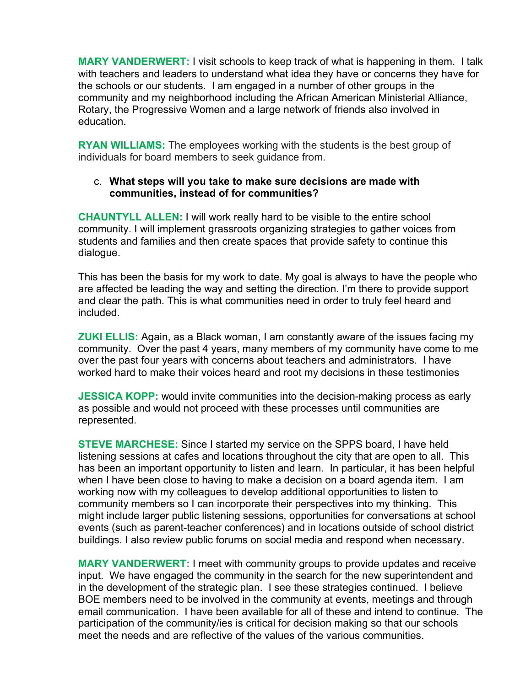**MARY VANDERWERT:** I visit schools to keep track of what is happening in them. I talk with teachers and leaders to understand what idea they have or concerns they have for the schools or our students. I am engaged in a number of other groups in the community and my neighborhood including the African American Ministerial Alliance, Rotary, the Progressive Women and a large network of friends also involved in education.

**RYAN WILLIAMS:** The employees working with the students is the best group of individuals for board members to seek guidance from.

# c. **What steps will you take to make sure decisions are made with communities, instead of for communities?**

**CHAUNTYLL ALLEN:** I will work really hard to be visible to the entire school community. I will implement grassroots organizing strategies to gather voices from students and families and then create spaces that provide safety to continue this dialogue.

This has been the basis for my work to date. My goal is always to have the people who are affected be leading the way and setting the direction. I'm there to provide support and clear the path. This is what communities need in order to truly feel heard and included.

**ZUKI ELLIS:** Again, as a Black woman, I am constantly aware of the issues facing my community. Over the past 4 years, many members of my community have come to me over the past four years with concerns about teachers and administrators. I have worked hard to make their voices heard and root my decisions in these testimonies

**JESSICA KOPP:** would invite communities into the decision-making process as early as possible and would not proceed with these processes until communities are represented.

**STEVE MARCHESE:** Since I started my service on the SPPS board, I have held listening sessions at cafes and locations throughout the city that are open to all. This has been an important opportunity to listen and learn. In particular, it has been helpful when I have been close to having to make a decision on a board agenda item. I am working now with my colleagues to develop additional opportunities to listen to community members so I can incorporate their perspectives into my thinking. This might include larger public listening sessions, opportunities for conversations at school events (such as parent-teacher conferences) and in locations outside of school district buildings. I also review public forums on social media and respond when necessary.

**MARY VANDERWERT:** I meet with community groups to provide updates and receive input. We have engaged the community in the search for the new superintendent and in the development of the strategic plan. I see these strategies continued. I believe BOE members need to be involved in the community at events, meetings and through email communication. I have been available for all of these and intend to continue. The participation of the community/ies is critical for decision making so that our schools meet the needs and are reflective of the values of the various communities.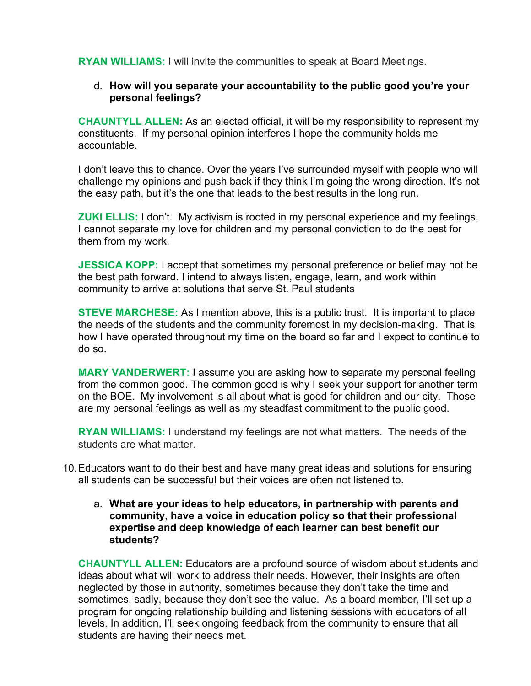**RYAN WILLIAMS:** I will invite the communities to speak at Board Meetings.

# d. **How will you separate your accountability to the public good you're your personal feelings?**

**CHAUNTYLL ALLEN:** As an elected official, it will be my responsibility to represent my constituents. If my personal opinion interferes I hope the community holds me accountable.

I don't leave this to chance. Over the years I've surrounded myself with people who will challenge my opinions and push back if they think I'm going the wrong direction. It's not the easy path, but it's the one that leads to the best results in the long run.

**ZUKI ELLIS:** I don't. My activism is rooted in my personal experience and my feelings. I cannot separate my love for children and my personal conviction to do the best for them from my work.

**JESSICA KOPP:** I accept that sometimes my personal preference or belief may not be the best path forward. I intend to always listen, engage, learn, and work within community to arrive at solutions that serve St. Paul students

**STEVE MARCHESE:** As I mention above, this is a public trust. It is important to place the needs of the students and the community foremost in my decision-making. That is how I have operated throughout my time on the board so far and I expect to continue to do so.

**MARY VANDERWERT:** I assume you are asking how to separate my personal feeling from the common good. The common good is why I seek your support for another term on the BOE. My involvement is all about what is good for children and our city. Those are my personal feelings as well as my steadfast commitment to the public good.

**RYAN WILLIAMS:** I understand my feelings are not what matters. The needs of the students are what matter.

- 10.Educators want to do their best and have many great ideas and solutions for ensuring all students can be successful but their voices are often not listened to.
	- a. **What are your ideas to help educators, in partnership with parents and community, have a voice in education policy so that their professional expertise and deep knowledge of each learner can best benefit our students?**

**CHAUNTYLL ALLEN:** Educators are a profound source of wisdom about students and ideas about what will work to address their needs. However, their insights are often neglected by those in authority, sometimes because they don't take the time and sometimes, sadly, because they don't see the value. As a board member, I'll set up a program for ongoing relationship building and listening sessions with educators of all levels. In addition, I'll seek ongoing feedback from the community to ensure that all students are having their needs met.